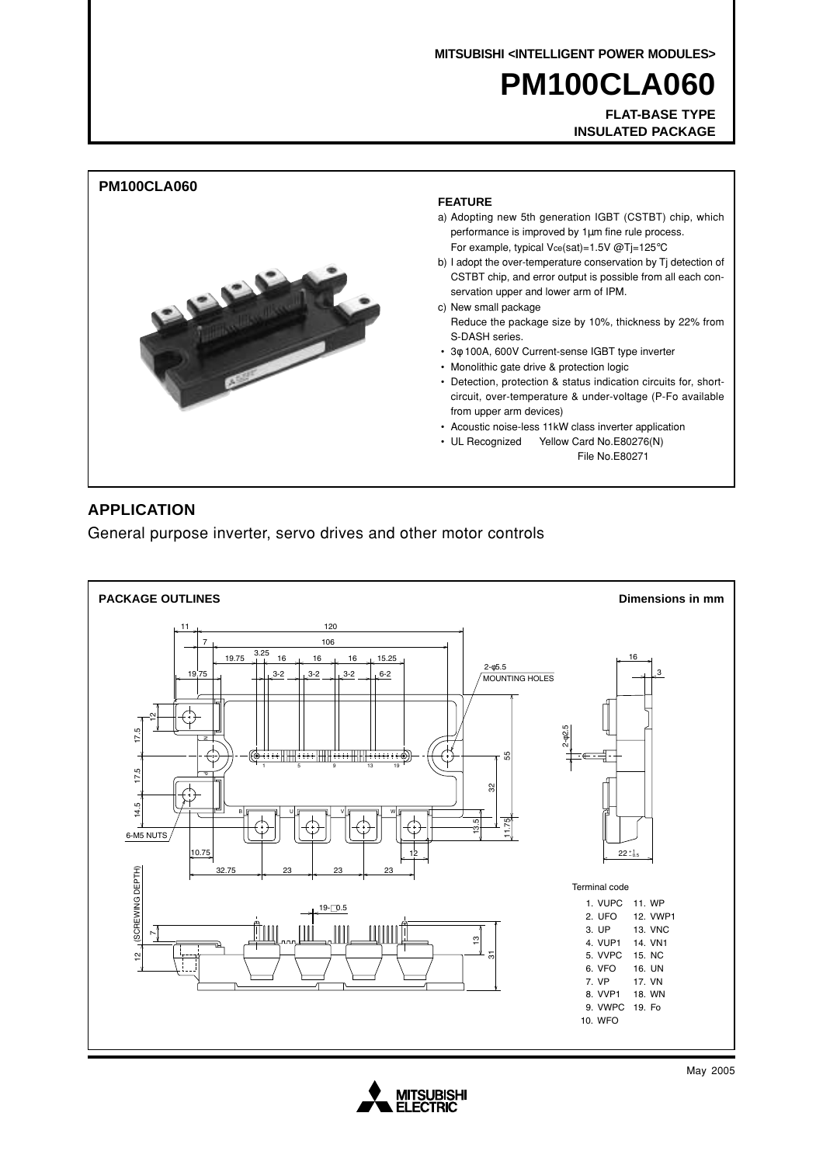**MITSUBISHI <INTELLIGENT POWER MODULES>**

# **PM100CLA060**

**FLAT-BASE TYPE INSULATED PACKAGE**



### **APPLICATION**

General purpose inverter, servo drives and other motor controls



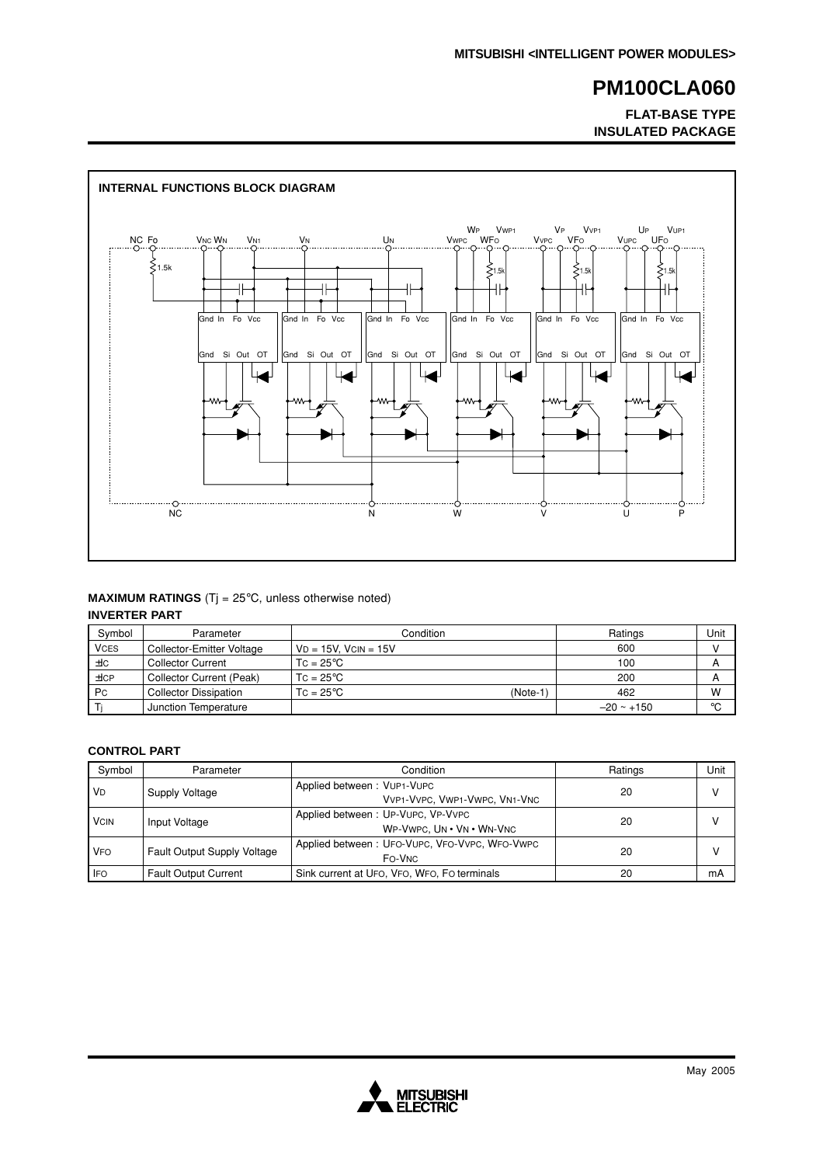#### **FLAT-BASE TYPE INSULATED PACKAGE**



# **MAXIMUM RATINGS** (Tj = 25°C, unless otherwise noted)

| <b>INVERTER PART</b> |
|----------------------|
|----------------------|

| Symbol      | Parameter                    | Condition                     | Ratings         | Unit         |
|-------------|------------------------------|-------------------------------|-----------------|--------------|
| <b>VCES</b> | Collector-Emitter Voltage    | $VD = 15V$ . $VCIN = 15V$     | 600             | $\mathsf{V}$ |
| $\pm$ IC    | <b>Collector Current</b>     | $Tc = 25^{\circ}C$            | 100             | A            |
| ±ICP        | Collector Current (Peak)     | $Tc = 25^{\circ}C$            | 200             | A            |
| <b>Pc</b>   | <b>Collector Dissipation</b> | $Tc = 25^{\circ}C$<br>(Note-1 | 462             | W            |
|             | Junction Temperature         |                               | $-20 \sim +150$ | °C           |

#### **CONTROL PART**

| Symbol      | Parameter                          | Condition                                                      | Ratings | Unit |
|-------------|------------------------------------|----------------------------------------------------------------|---------|------|
| <b>VD</b>   | Supply Voltage                     | Applied between: VUP1-VUPC<br>VVP1-VVPC, VWP1-VWPC, VN1-VNC    | 20      |      |
| <b>VCIN</b> | Input Voltage                      | Applied between: UP-VUPC, VP-VVPC<br>WP-VWPC, UN . VN . WN-VNC | 20      |      |
| <b>VFO</b>  | <b>Fault Output Supply Voltage</b> | Applied between: UFO-VUPC, VFO-VVPC, WFO-VWPC<br>FO-VNC        | 20      |      |
| <b>IFO</b>  | <b>Fault Output Current</b>        | Sink current at UFO, VFO, WFO, FO terminals                    | 20      | mA   |

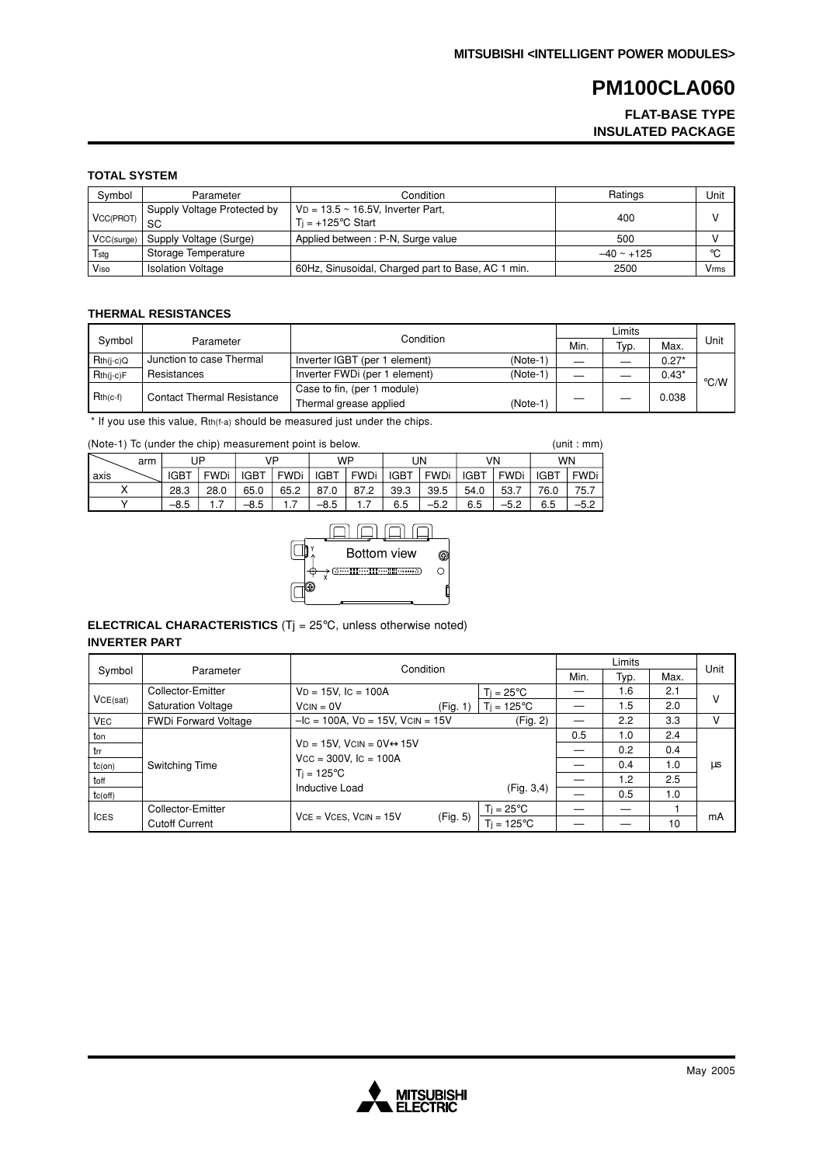#### **FLAT-BASE TYPE INSULATED PACKAGE**

#### **TOTAL SYSTEM**

| Symbol          | Parameter                         | Condition                                                             | Ratings         | Unit |
|-----------------|-----------------------------------|-----------------------------------------------------------------------|-----------------|------|
| <b>VCC(PROT</b> | Supply Voltage Protected by<br>SC | $VD = 13.5 \sim 16.5V$ , Inverter Part,<br>$Ti = +125^{\circ}C$ Start | 400             |      |
| VCC(surge)      | Supply Voltage (Surge)            | Applied between: P-N, Surge value                                     | 500             |      |
| Tsta            | Storage Temperature               |                                                                       | $-40 \sim +125$ | °C   |
| Viso            | <b>Isolation Voltage</b>          | 60Hz, Sinusoidal, Charged part to Base, AC 1 min.                     | 2500            | Vrms |

#### **THERMAL RESISTANCES**

|                     |                                   | Condition                                   |  | Limits |         |                    |  |
|---------------------|-----------------------------------|---------------------------------------------|--|--------|---------|--------------------|--|
| Symbol<br>Parameter |                                   |                                             |  | Typ.   | Max.    | Unit               |  |
| $Rth(i-c)Q$         | Junction to case Thermal          | Inverter IGBT (per 1 element)<br>$(Note-1)$ |  |        | $0.27*$ |                    |  |
| $Rth(i-c)F$         | Resistances                       | Inverter FWDi (per 1 element)<br>$(Note-1)$ |  |        | $0.43*$ | $\rm ^{\circ}$ C/W |  |
| $Rth(c-f)$          | <b>Contact Thermal Resistance</b> | Case to fin, (per 1 module)                 |  |        |         |                    |  |
|                     |                                   | (Note-1)<br>Thermal grease applied          |  |        | 0.038   |                    |  |

\* If you use this value, Rth(f-a) should be measured just under the chips.

(Note-1) Tc (under the chip) measurement point is below. (unit : mm)

| .<br>___<br>. |     |             |             |             |             |             |           |             |             |             |             |                 |             |
|---------------|-----|-------------|-------------|-------------|-------------|-------------|-----------|-------------|-------------|-------------|-------------|-----------------|-------------|
|               | arm |             | JΡ          |             | VP          |             | <b>WP</b> |             | UN          |             | ٧N          | <b>WN</b>       |             |
| axis          |     | <b>IGBT</b> | <b>FWDi</b> | <b>IGBT</b> | <b>FWDi</b> | <b>IGBT</b> | FWDi      | <b>IGBT</b> | <b>FWDi</b> | <b>IGBT</b> | <b>FWDi</b> | $\sqrt{1}$ IGBT | <b>FWDi</b> |
|               |     | 28.3        | 28.0        | 65.0        | 65.2        | 87.0        | 87.2      | 39.3        | 39.5        | 54.0        | 53.7        | 76.0            | 75.7        |
|               |     | $-8.5$      | $\cdots$    | $-8.5$      | .           | $-8.5$      | .         | 6.5         | $-5.2$      | 6.5         | -5.2        | 6.5             | –5.⊾        |



#### **ELECTRICAL CHARACTERISTICS** (Tj = 25°C, unless otherwise noted) **INVERTER PART**

|               | Condition                   |                                              |          |                      | Limits |      |      | Unit       |
|---------------|-----------------------------|----------------------------------------------|----------|----------------------|--------|------|------|------------|
| Symbol        | Parameter                   |                                              |          |                      | Min.   | Typ. | Max. |            |
|               | Collector-Emitter           | $VD = 15V$ , $IC = 100A$                     |          | $Ti = 25^{\circ}C$   |        | 1.6  | 2.1  | v          |
| VCE(sat)      | <b>Saturation Voltage</b>   | $VCN = 0V$                                   | (Fig. 1) | $T_i = 125^{\circ}C$ |        | 1.5  | 2.0  |            |
| <b>VEC</b>    | <b>FWDi Forward Voltage</b> | $-IC = 100A$ , $VD = 15V$ , $VCIN = 15V$     |          | (Fig. 2)             |        | 2.2  | 3.3  | v          |
| ton           |                             |                                              |          |                      | 0.5    | 1.0  | 2.4  |            |
| trr           |                             | $VD = 15V$ , $VCIN = OV \leftrightarrow 15V$ |          |                      |        | 0.2  | 0.4  |            |
| $tc($ on $)$  | Switching Time              | $Vcc = 300V$ , $lc = 100A$                   |          |                      |        | 0.4  | 1.0  | <b>LLS</b> |
| toff          |                             | $T_i = 125^{\circ}C$                         |          |                      |        | 1.2  | 2.5  |            |
| $tc($ off $)$ |                             | Inductive Load                               |          | (Fig. 3, 4)          |        | 0.5  | 1.0  |            |
| <b>ICES</b>   | Collector-Emitter           |                                              |          | $Ti = 25^{\circ}C$   |        |      |      |            |
|               | <b>Cutoff Current</b>       | $VCE = VCES$ , $VCIN = 15V$                  | (Fig. 5) | $Ti = 125^{\circ}C$  |        |      | 10   | mA         |

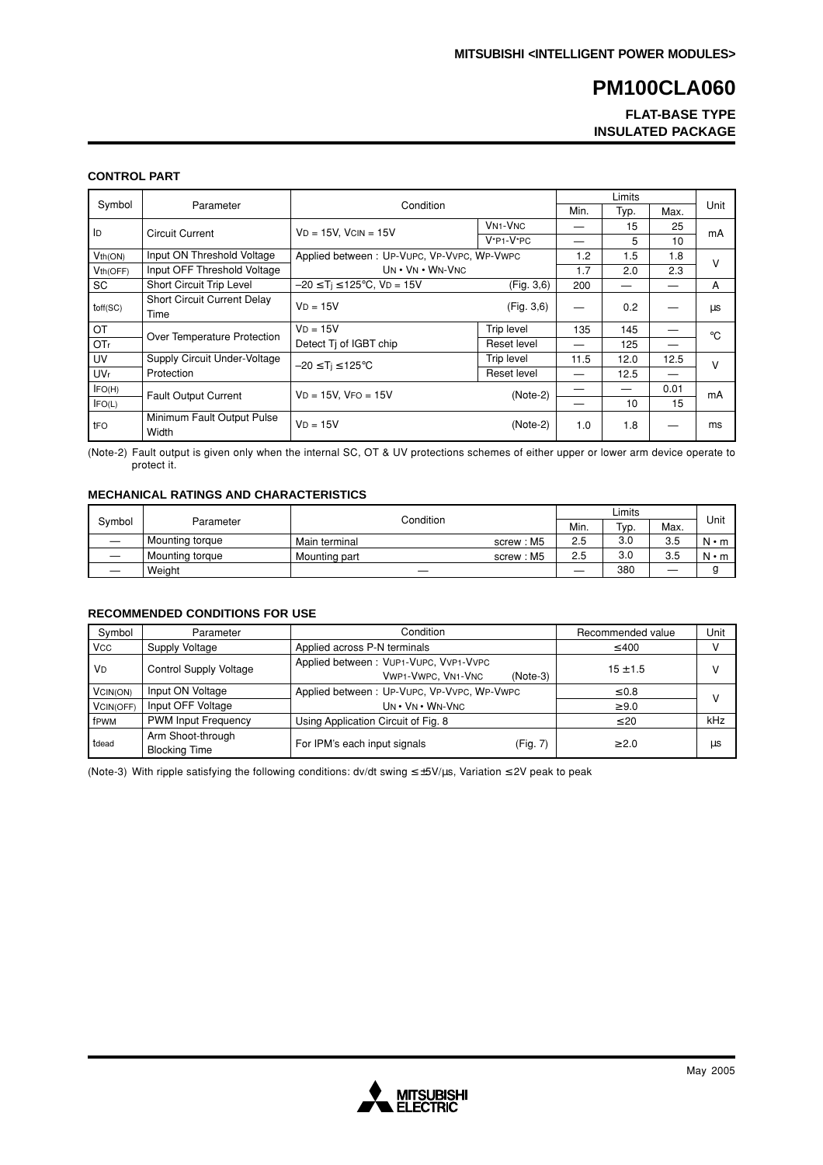#### **FLAT-BASE TYPE INSULATED PACKAGE**

#### **CONTROL PART**

|            |                                            |                                            |                                      | Limits |      |      |        |
|------------|--------------------------------------------|--------------------------------------------|--------------------------------------|--------|------|------|--------|
| Symbol     | Parameter                                  |                                            | Condition                            |        | Typ. | Max. | Unit   |
| ID         | Circuit Current                            | $VD = 15V$ , $VCIN = 15V$                  | <b>VN<sub>1</sub>-V<sub>NC</sub></b> |        | 15   | 25   |        |
|            |                                            |                                            | $V*P1-V*PC$                          |        | 5    | 10   | mA     |
| Vth(ON)    | Input ON Threshold Voltage                 | Applied between: UP-VUPC, VP-VVPC, WP-VWPC |                                      | 1.2    | 1.5  | 1.8  | $\vee$ |
| Vth(OFF)   | Input OFF Threshold Voltage                | $UN \cdot VN \cdot WN\text{-}VNC$          |                                      | 1.7    | 2.0  | 2.3  |        |
| <b>SC</b>  | Short Circuit Trip Level                   | $-20 \le T_i \le 125^{\circ}$ C, VD = 15V  | (Fig. 3, 6)                          | 200    |      |      | A      |
| toff(SC)   | <b>Short Circuit Current Delay</b><br>Time | $VD = 15V$                                 | (Fig. 3, 6)                          |        | 0.2  |      | μs     |
| OT         | Over Temperature Protection                | $VD = 15V$                                 | Trip level                           | 135    | 145  |      | °C     |
| OTr        |                                            | Detect Ti of IGBT chip                     | Reset level                          |        | 125  |      |        |
| <b>UV</b>  | Supply Circuit Under-Voltage               | $-20 \leq T_i \leq 125^{\circ}C$           | Trip level                           | 11.5   | 12.0 | 12.5 | $\vee$ |
| <b>UVr</b> | Protection                                 |                                            | Reset level                          |        | 12.5 |      |        |
| IFO(H)     | <b>Fault Output Current</b>                | $VD = 15V$ , $VFO = 15V$                   | $(Note-2)$                           |        |      | 0.01 | mA     |
| IFO(L)     |                                            |                                            |                                      |        | 10   | 15   |        |
| tFO        | Minimum Fault Output Pulse<br>Width        | $VD = 15V$                                 | $(Note-2)$                           | 1.0    | 1.8  |      | ms     |

(Note-2) Fault output is given only when the internal SC, OT & UV protections schemes of either upper or lower arm device operate to protect it.

#### **MECHANICAL RATINGS AND CHARACTERISTICS**

|        |                 |               |           |      | Limits |      |             |  |
|--------|-----------------|---------------|-----------|------|--------|------|-------------|--|
| Svmbol | Parameter       | Condition     | Min.      | Тур. | Max.   | Unit |             |  |
|        | Mounting torque | Main terminal | screw: M5 | 2.5  | 3.0    | 3.5  | $N \cdot m$ |  |
|        | Mounting torque | Mounting part | screw: M5 | 2.5  | 3.0    | 3.5  | $N \cdot m$ |  |
|        | Weight          |               |           |      | 380    |      |             |  |

#### **RECOMMENDED CONDITIONS FOR USE**

| Symbol                | Parameter                                 | Condition                                                                 | Recommended value | Unit |
|-----------------------|-------------------------------------------|---------------------------------------------------------------------------|-------------------|------|
| <b>Vcc</b>            | Supply Voltage                            | Applied across P-N terminals                                              | $\leq 400$        |      |
| <b>V</b> <sub>D</sub> | <b>Control Supply Voltage</b>             | Applied between: VUP1-VUPC, VVP1-VVPC<br>VWP1-VWPC, VN1-VNC<br>$(Note-3)$ | $15 + 1.5$        |      |
| VCIN(ON)              | Input ON Voltage                          | Applied between: UP-VUPC, VP-VVPC, WP-VWPC                                | $\leq 0.8$        |      |
| VCIN(OFF)             | Input OFF Voltage                         | $UN \cdot VN \cdot WN\text{-}VNC$                                         | $\geq 9.0$        |      |
| fPWM                  | PWM Input Frequency                       | Using Application Circuit of Fig. 8                                       | $\leq 20$         | kHz  |
| tdead                 | Arm Shoot-through<br><b>Blocking Time</b> | For IPM's each input signals<br>(Fig. 7)                                  | > 2.0             | μs   |

(Note-3) With ripple satisfying the following conditions: dv/dt swing ≤ ±5V/µs, Variation ≤ 2V peak to peak

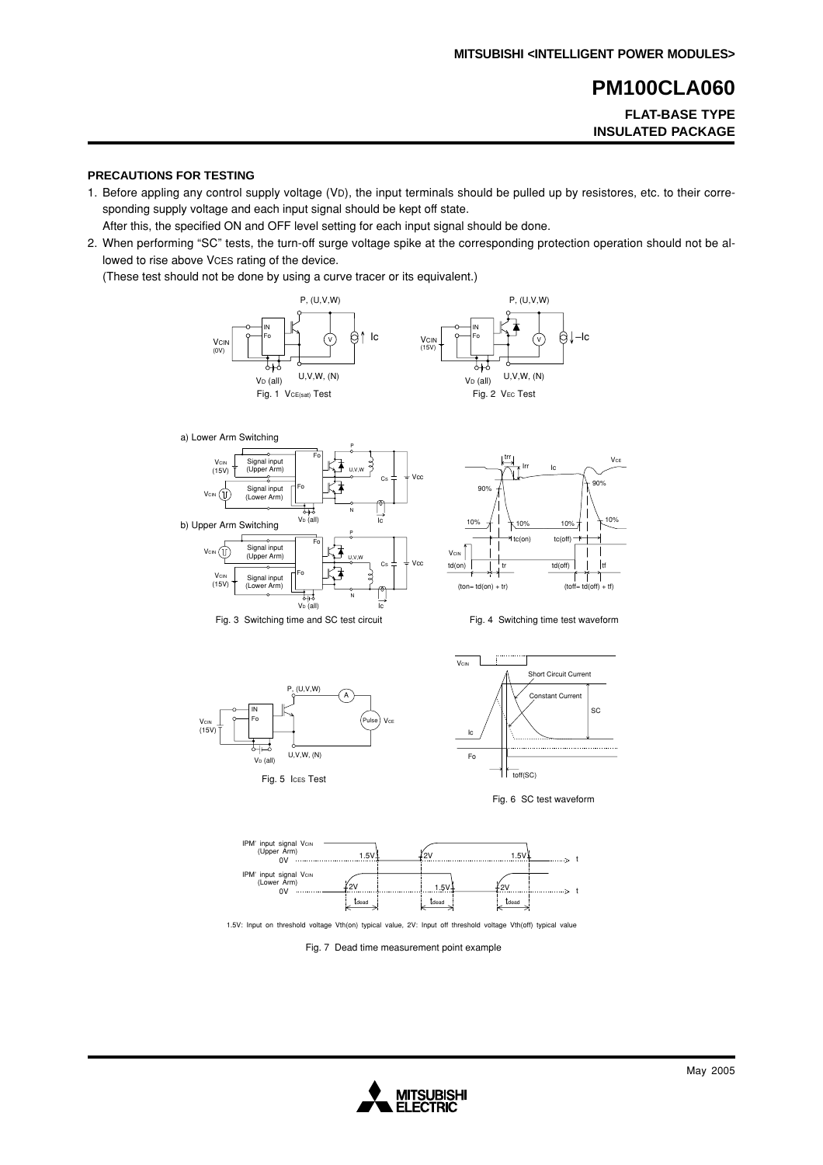**FLAT-BASE TYPE INSULATED PACKAGE**

#### **PRECAUTIONS FOR TESTING**

1. Before appling any control supply voltage (VD), the input terminals should be pulled up by resistores, etc. to their corresponding supply voltage and each input signal should be kept off state.

After this, the specified ON and OFF level setting for each input signal should be done.

2. When performing "SC" tests, the turn-off surge voltage spike at the corresponding protection operation should not be allowed to rise above VCES rating of the device.

(These test should not be done by using a curve tracer or its equivalent.)







Fig. 3 Switching time and SC test circuit Fig. 4 Switching time test waveform





Fig. 6 SC test waveform



1.5V: Input on threshold voltage Vth(on) typical value, 2V: Input off threshold voltage Vth(off) typical value

Fig. 7 Dead time measurement point example

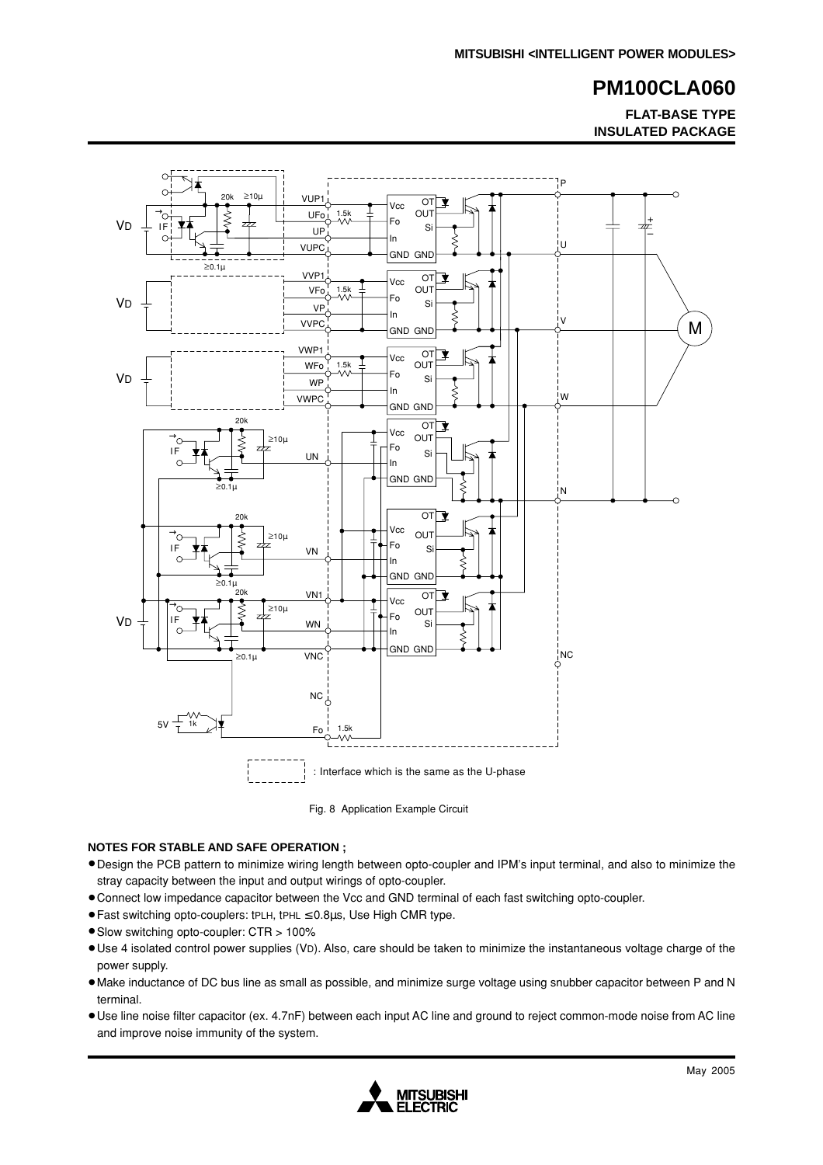**FLAT-BASE TYPE INSULATED PACKAGE**



Fig. 8 Application Example Circuit

#### **NOTES FOR STABLE AND SAFE OPERATION ;**

- •Design the PCB pattern to minimize wiring length between opto-coupler and IPM's input terminal, and also to minimize the stray capacity between the input and output wirings of opto-coupler.
- •Connect low impedance capacitor between the Vcc and GND terminal of each fast switching opto-coupler.
- •Fast switching opto-couplers: tPLH, tPHL <sup>≤</sup> 0.8µs, Use High CMR type.
- •Slow switching opto-coupler: CTR > 100%
- •Use 4 isolated control power supplies (VD). Also, care should be taken to minimize the instantaneous voltage charge of the power supply.
- •Make inductance of DC bus line as small as possible, and minimize surge voltage using snubber capacitor between P and N terminal.
- •Use line noise filter capacitor (ex. 4.7nF) between each input AC line and ground to reject common-mode noise from AC line and improve noise immunity of the system.

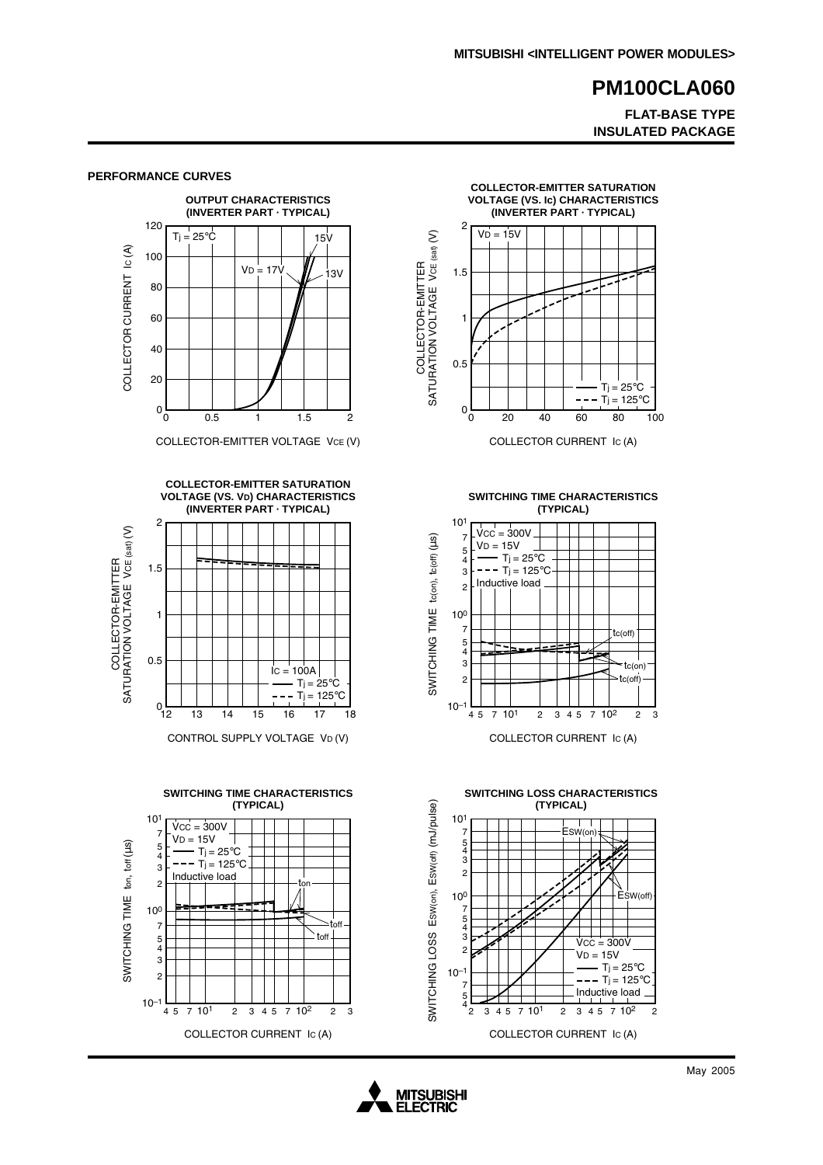#### **FLAT-BASE TYPE INSULATED PACKAGE**



**PERFORMANCE CURVES**

COLLECTOR-EMITTER VOLTAGE VCE (V)







**SWITCHING TIME CHARACTERISTICS (TYPICAL)**



**SWITCHING LOSS CHARACTERISTICS**